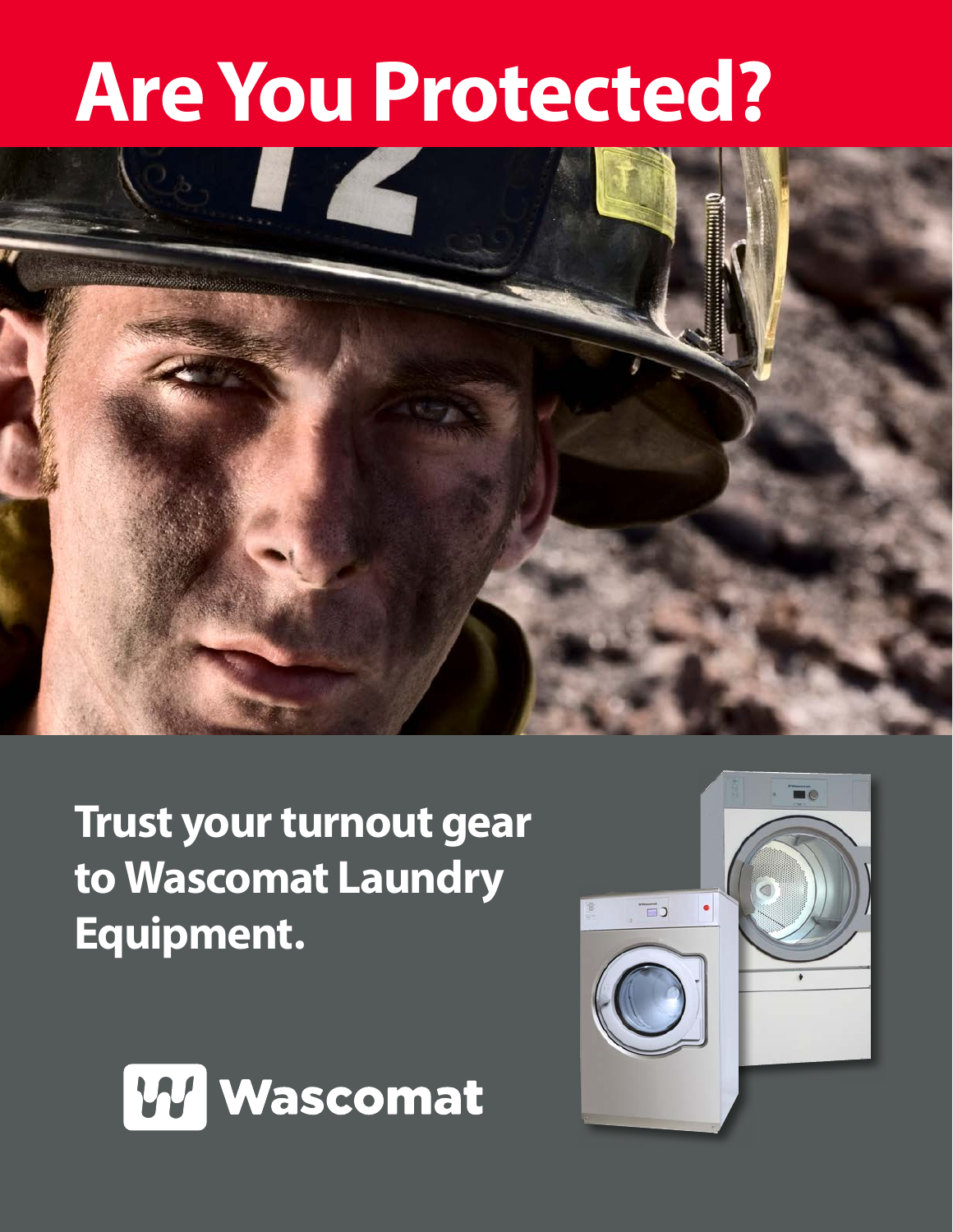# **Are You Protected?**



**Trust your turnout gear to Wascomat Laundry Equipment.** 



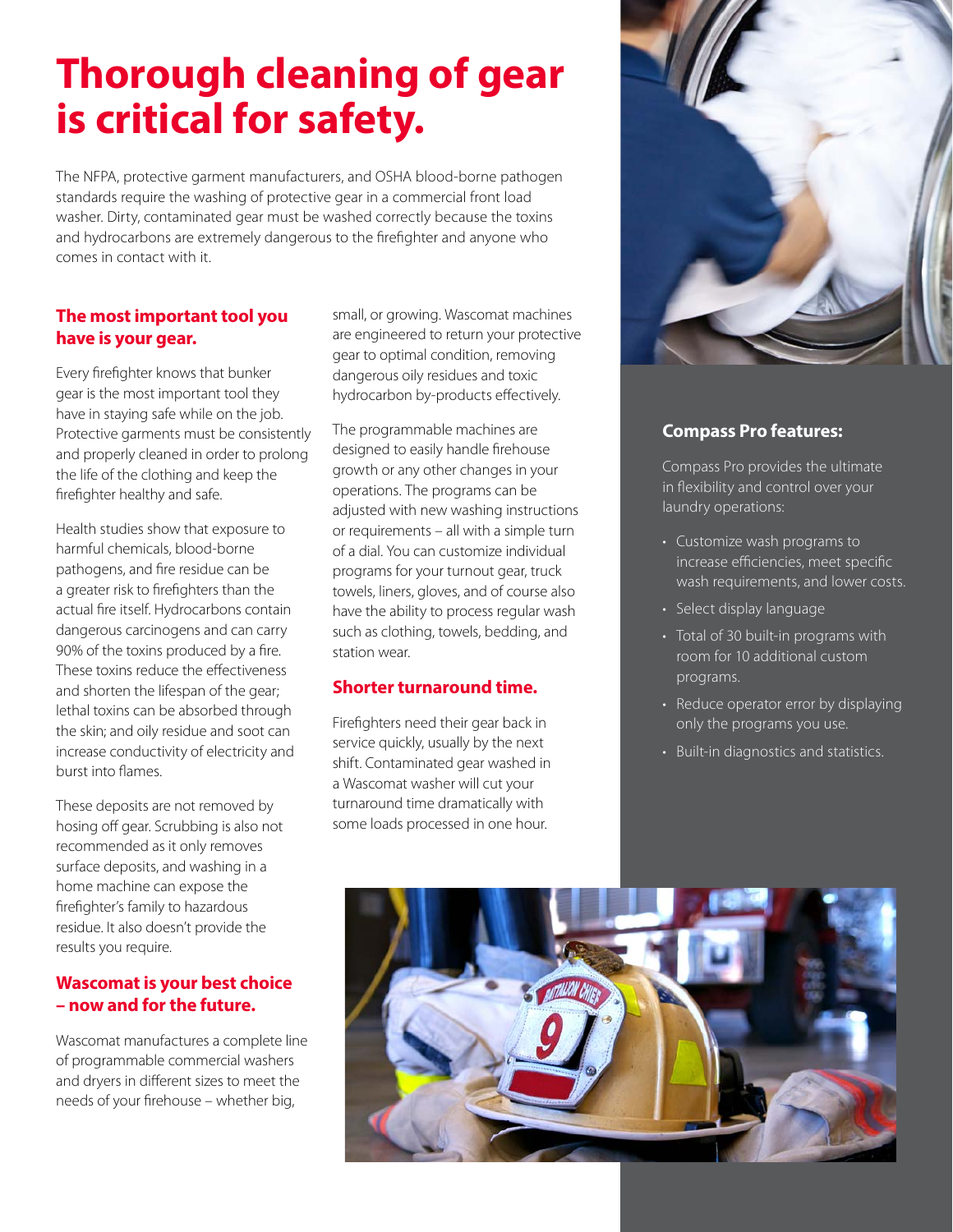## **Thorough cleaning of gear is critical for safety.**

The NFPA, protective garment manufacturers, and OSHA blood-borne pathogen standards require the washing of protective gear in a commercial front load washer. Dirty, contaminated gear must be washed correctly because the toxins and hydrocarbons are extremely dangerous to the firefighter and anyone who comes in contact with it.

#### **The most important tool you have is your gear.**

Every firefighter knows that bunker gear is the most important tool they have in staying safe while on the job. Protective garments must be consistently and properly cleaned in order to prolong the life of the clothing and keep the firefighter healthy and safe.

Health studies show that exposure to harmful chemicals, blood-borne pathogens, and fire residue can be a greater risk to firefighters than the actual fire itself. Hydrocarbons contain dangerous carcinogens and can carry 90% of the toxins produced by a fire. These toxins reduce the effectiveness and shorten the lifespan of the gear; lethal toxins can be absorbed through the skin; and oily residue and soot can increase conductivity of electricity and burst into flames.

These deposits are not removed by hosing off gear. Scrubbing is also not recommended as it only removes surface deposits, and washing in a home machine can expose the firefighter's family to hazardous residue. It also doesn't provide the results you require.

#### **Wascomat is your best choice – now and for the future.**

Wascomat manufactures a complete line of programmable commercial washers and dryers in different sizes to meet the needs of your firehouse – whether big,

small, or growing. Wascomat machines are engineered to return your protective gear to optimal condition, removing dangerous oily residues and toxic hydrocarbon by-products effectively.

The programmable machines are designed to easily handle firehouse growth or any other changes in your operations. The programs can be adjusted with new washing instructions or requirements – all with a simple turn of a dial. You can customize individual programs for your turnout gear, truck towels, liners, gloves, and of course also have the ability to process regular wash such as clothing, towels, bedding, and station wear.

#### **Shorter turnaround time.**

Firefighters need their gear back in service quickly, usually by the next shift. Contaminated gear washed in a Wascomat washer will cut your turnaround time dramatically with some loads processed in one hour.



#### **Compass Pro features:**

Compass Pro provides the ultimate in flexibility and control over your laundry operations:

- Customize wash programs to increase efficiencies, meet specific wash requirements, and lower costs.
- Select display language
- Total of 30 built-in programs with room for 10 additional custom programs.
- Reduce operator error by displaying only the programs you use.
- Built-in diagnostics and statistics.

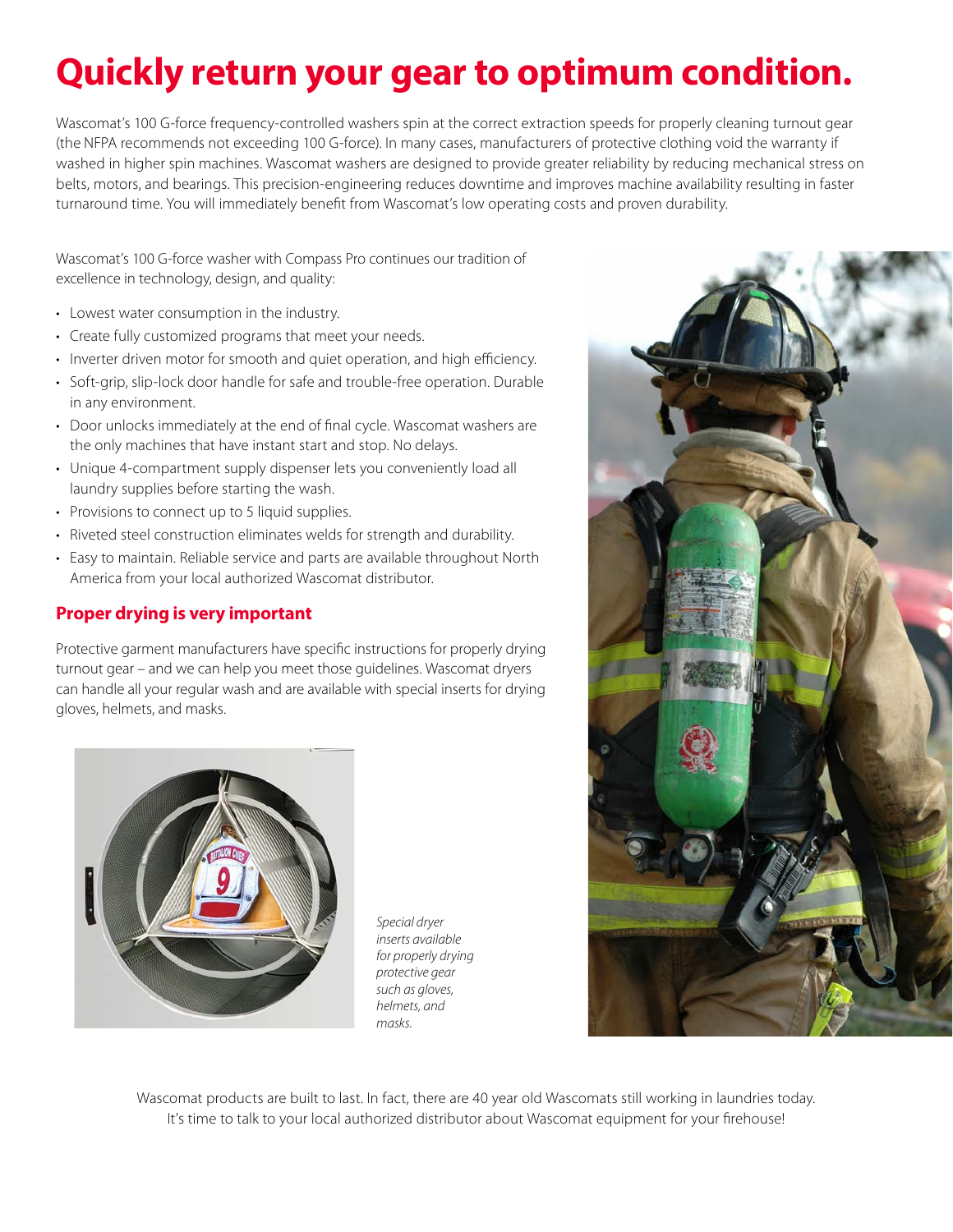## **Quickly return your gear to optimum condition.**

Wascomat's 100 G-force frequency-controlled washers spin at the correct extraction speeds for properly cleaning turnout gear (the NFPA recommends not exceeding 100 G-force). In many cases, manufacturers of protective clothing void the warranty if washed in higher spin machines. Wascomat washers are designed to provide greater reliability by reducing mechanical stress on belts, motors, and bearings. This precision-engineering reduces downtime and improves machine availability resulting in faster turnaround time. You will immediately benefit from Wascomat's low operating costs and proven durability.

Wascomat's 100 G-force washer with Compass Pro continues our tradition of excellence in technology, design, and quality:

- Lowest water consumption in the industry.
- Create fully customized programs that meet your needs.
- Inverter driven motor for smooth and quiet operation, and high efficiency.
- Soft-grip, slip-lock door handle for safe and trouble-free operation. Durable in any environment.
- Door unlocks immediately at the end of final cycle. Wascomat washers are the only machines that have instant start and stop. No delays.
- Unique 4-compartment supply dispenser lets you conveniently load all laundry supplies before starting the wash.
- Provisions to connect up to 5 liquid supplies.
- Riveted steel construction eliminates welds for strength and durability.
- Easy to maintain. Reliable service and parts are available throughout North America from your local authorized Wascomat distributor.

#### **Proper drying is very important**

Protective garment manufacturers have specific instructions for properly drying turnout gear – and we can help you meet those guidelines. Wascomat dryers can handle all your regular wash and are available with special inserts for drying gloves, helmets, and masks.



*Special dryer inserts available for properly drying protective gear such as gloves, helmets, and masks.*



Wascomat products are built to last. In fact, there are 40 year old Wascomats still working in laundries today. It's time to talk to your local authorized distributor about Wascomat equipment for your firehouse!